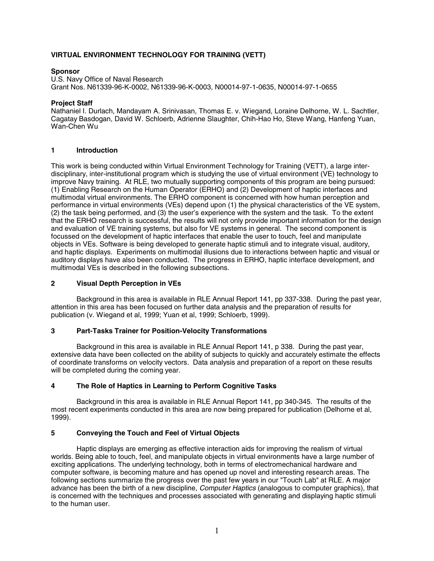# **VIRTUAL ENVIRONMENT TECHNOLOGY FOR TRAINING (VETT)**

### **Sponsor**

U.S. Navy Office of Naval Research Grant Nos. N61339-96-K-0002, N61339-96-K-0003, N00014-97-1-0635, N00014-97-1-0655

#### **Project Staff**

Nathaniel I. Durlach, Mandayam A. Srinivasan, Thomas E. v. Wiegand, Loraine Delhorne, W. L. Sachtler, Cagatay Basdogan, David W. Schloerb, Adrienne Slaughter, Chih-Hao Ho, Steve Wang, Hanfeng Yuan, Wan-Chen Wu

### **1 Introduction**

This work is being conducted within Virtual Environment Technology for Training (VETT), a large interdisciplinary, inter-institutional program which is studying the use of virtual environment (VE) technology to improve Navy training. At RLE, two mutually supporting components of this program are being pursued: (1) Enabling Research on the Human Operator (ERHO) and (2) Development of haptic interfaces and multimodal virtual environments. The ERHO component is concerned with how human perception and performance in virtual environments (VEs) depend upon (1) the physical characteristics of the VE system, (2) the task being performed, and (3) the user's experience with the system and the task. To the extent that the ERHO research is successful, the results will not only provide important information for the design and evaluation of VE training systems, but also for VE systems in general. The second component is focussed on the development of haptic interfaces that enable the user to touch, feel and manipulate objects in VEs. Software is being developed to generate haptic stimuli and to integrate visual, auditory, and haptic displays. Experiments on multimodal illusions due to interactions between haptic and visual or auditory displays have also been conducted. The progress in ERHO, haptic interface development, and multimodal VEs is described in the following subsections.

## **2 Visual Depth Perception in VEs**

Background in this area is available in RLE Annual Report 141, pp 337-338. During the past year, attention in this area has been focused on further data analysis and the preparation of results for publication (v. Wiegand et al, 1999; Yuan et al, 1999; Schloerb, 1999).

#### **3 Part-Tasks Trainer for Position-Velocity Transformations**

Background in this area is available in RLE Annual Report 141, p 338. During the past year, extensive data have been collected on the ability of subjects to quickly and accurately estimate the effects of coordinate transforms on velocity vectors. Data analysis and preparation of a report on these results will be completed during the coming year.

# **4 The Role of Haptics in Learning to Perform Cognitive Tasks**

Background in this area is available in RLE Annual Report 141, pp 340-345. The results of the most recent experiments conducted in this area are now being prepared for publication (Delhorne et al, 1999).

# **5 Conveying the Touch and Feel of Virtual Objects**

Haptic displays are emerging as effective interaction aids for improving the realism of virtual worlds. Being able to touch, feel, and manipulate objects in virtual environments have a large number of exciting applications. The underlying technology, both in terms of electromechanical hardware and computer software, is becoming mature and has opened up novel and interesting research areas. The following sections summarize the progress over the past few years in our "Touch Lab" at RLE. A major advance has been the birth of a new discipline, *Computer Haptics* (analogous to computer graphics), that is concerned with the techniques and processes associated with generating and displaying haptic stimuli to the human user.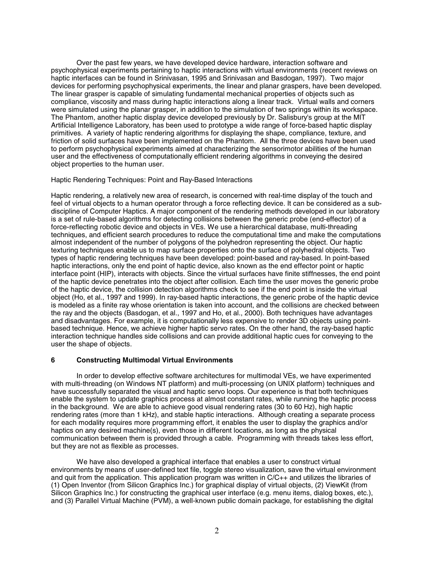Over the past few years, we have developed device hardware, interaction software and psychophysical experiments pertaining to haptic interactions with virtual environments (recent reviews on haptic interfaces can be found in Srinivasan, 1995 and Srinivasan and Basdogan, 1997). Two major devices for performing psychophysical experiments, the linear and planar graspers, have been developed. The linear grasper is capable of simulating fundamental mechanical properties of objects such as compliance, viscosity and mass during haptic interactions along a linear track. Virtual walls and corners were simulated using the planar grasper, in addition to the simulation of two springs within its workspace. The Phantom, another haptic display device developed previously by Dr. Salisbury's group at the MIT Artificial Intelligence Laboratory, has been used to prototype a wide range of force-based haptic display primitives. A variety of haptic rendering algorithms for displaying the shape, compliance, texture, and friction of solid surfaces have been implemented on the Phantom. All the three devices have been used to perform psychophysical experiments aimed at characterizing the sensorimotor abilities of the human user and the effectiveness of computationally efficient rendering algorithms in conveying the desired object properties to the human user.

#### Haptic Rendering Techniques: Point and Ray-Based Interactions

Haptic rendering, a relatively new area of research, is concerned with real-time display of the touch and feel of virtual objects to a human operator through a force reflecting device. It can be considered as a subdiscipline of Computer Haptics. A major component of the rendering methods developed in our laboratory is a set of rule-based algorithms for detecting collisions between the generic probe (end-effector) of a force-reflecting robotic device and objects in VEs. We use a hierarchical database, multi-threading techniques, and efficient search procedures to reduce the computational time and make the computations almost independent of the number of polygons of the polyhedron representing the object. Our haptic texturing techniques enable us to map surface properties onto the surface of polyhedral objects. Two types of haptic rendering techniques have been developed: point-based and ray-based. In point-based haptic interactions, only the end point of haptic device, also known as the end effector point or haptic interface point (HIP), interacts with objects. Since the virtual surfaces have finite stiffnesses, the end point of the haptic device penetrates into the object after collision. Each time the user moves the generic probe of the haptic device, the collision detection algorithms check to see if the end point is inside the virtual object (Ho, et al., 1997 and 1999). In ray-based haptic interactions, the generic probe of the haptic device is modeled as a finite ray whose orientation is taken into account, and the collisions are checked between the ray and the objects (Basdogan, et al., 1997 and Ho, et al., 2000). Both techniques have advantages and disadvantages. For example, it is computationally less expensive to render 3D objects using pointbased technique. Hence, we achieve higher haptic servo rates. On the other hand, the ray-based haptic interaction technique handles side collisions and can provide additional haptic cues for conveying to the user the shape of objects.

#### **6 Constructing Multimodal Virtual Environments**

In order to develop effective software architectures for multimodal VEs, we have experimented with multi-threading (on Windows NT platform) and multi-processing (on UNIX platform) techniques and have successfully separated the visual and haptic servo loops. Our experience is that both techniques enable the system to update graphics process at almost constant rates, while running the haptic process in the background. We are able to achieve good visual rendering rates (30 to 60 Hz), high haptic rendering rates (more than 1 kHz), and stable haptic interactions. Although creating a separate process for each modality requires more programming effort, it enables the user to display the graphics and/or haptics on any desired machine(s), even those in different locations, as long as the physical communication between them is provided through a cable. Programming with threads takes less effort, but they are not as flexible as processes.

We have also developed a graphical interface that enables a user to construct virtual environments by means of user-defined text file, toggle stereo visualization, save the virtual environment and quit from the application. This application program was written in  $C/C++$  and utilizes the libraries of (1) Open Inventor (from Silicon Graphics Inc.) for graphical display of virtual objects, (2) ViewKit (from Silicon Graphics Inc.) for constructing the graphical user interface (e.g. menu items, dialog boxes, etc.), and (3) Parallel Virtual Machine (PVM), a well-known public domain package, for establishing the digital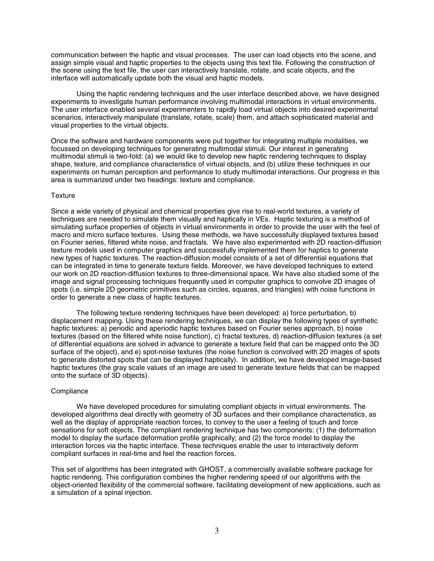communication between the haptic and visual processes. The user can load objects into the scene, and assign simple visual and haptic properties to the objects using this text file. Following the construction of the scene using the text file, the user can interactively translate, rotate, and scale objects, and the interface will automatically update both the visual and haptic models.

Using the haptic rendering techniques and the user interface described above, we have designed experiments to investigate human performance involving multimodal interactions in virtual environments. The user interface enabled several experimenters to rapidly load virtual objects into desired experimental scenarios, interactively manipulate (translate, rotate, scale) them, and attach sophisticated material and visual properties to the virtual objects.

Once the software and hardware components were put together for integrating multiple modalities, we focussed on developing techniques for generating multimodal stimuli. Our interest in generating multimodal stimuli is two-fold: (a) we would like to develop new haptic rendering techniques to display shape, texture, and compliance characteristics of virtual objects, and (b) utilize these techniques in our experiments on human perception and performance to study multimodal interactions. Our progress in this area is summarized under two headings: texture and compliance.

#### **Texture**

Since a wide variety of physical and chemical properties give rise to real-world textures, a variety of techniques are needed to simulate them visually and haptically in VEs. Haptic texturing is a method of simulating surface properties of objects in virtual environments in order to provide the user with the feel of macro and micro surface textures. Using these methods, we have successfully displayed textures based on Fourier series, filtered white noise, and fractals. We have also experimented with 2D reaction-diffusion texture models used in computer graphics and successfully implemented them for haptics to generate new types of haptic textures. The reaction-diffusion model consists of a set of differential equations that can be integrated in time to generate texture fields. Moreover, we have developed techniques to extend our work on 2D reaction-diffusion textures to three-dimensional space. We have also studied some of the image and signal processing techniques frequently used in computer graphics to convolve 2D images of spots (i.e. simple 2D geometric primitives such as circles, squares, and triangles) with noise functions in order to generate a new class of haptic textures.

The following texture rendering techniques have been developed: a) force perturbation, b) displacement mapping. Using these rendering techniques, we can display the following types of synthetic haptic textures: a) periodic and aperiodic haptic textures based on Fourier series approach, b) noise textures (based on the filtered white noise function), c) fractal textures, d) reaction-diffusion textures (a set of differential equations are solved in advance to generate a texture field that can be mapped onto the 3D surface of the object), and e) spot-noise textures (the noise function is convolved with 2D images of spots to generate distorted spots that can be displayed haptically). In addition, we have developed image-based haptic textures (the gray scale values of an image are used to generate texture fields that can be mapped onto the surface of 3D objects).

#### **Compliance**

We have developed procedures for simulating compliant objects in virtual environments. The developed algorithms deal directly with geometry of 3D surfaces and their compliance characteristics, as well as the display of appropriate reaction forces, to convey to the user a feeling of touch and force sensations for soft objects. The compliant rendering technique has two components: (1) the deformation model to display the surface deformation profile graphically; and (2) the force model to display the interaction forces via the haptic interface. These techniques enable the user to interactively deform compliant surfaces in real-time and feel the reaction forces.

This set of algorithms has been integrated with GHOST, a commercially available software package for haptic rendering. This configuration combines the higher rendering speed of our algorithms with the object-oriented flexibility of the commercial software, facilitating development of new applications, such as a simulation of a spinal injection.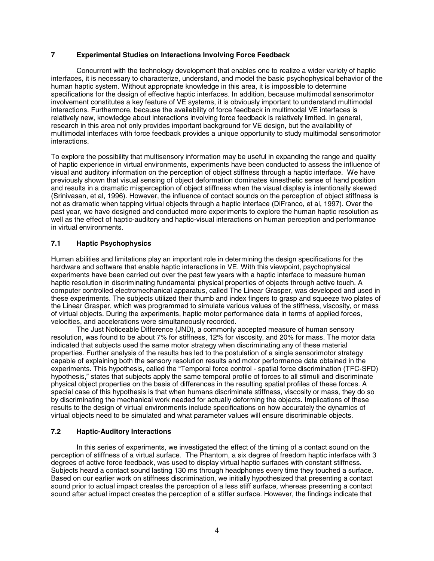### **7 Experimental Studies on Interactions Involving Force Feedback**

Concurrent with the technology development that enables one to realize a wider variety of haptic interfaces, it is necessary to characterize, understand, and model the basic psychophysical behavior of the human haptic system. Without appropriate knowledge in this area, it is impossible to determine specifications for the design of effective haptic interfaces. In addition, because multimodal sensorimotor involvement constitutes a key feature of VE systems, it is obviously important to understand multimodal interactions. Furthermore, because the availability of force feedback in multimodal VE interfaces is relatively new, knowledge about interactions involving force feedback is relatively limited. In general, research in this area not only provides important background for VE design, but the availability of multimodal interfaces with force feedback provides a unique opportunity to study multimodal sensorimotor interactions.

To explore the possibility that multisensory information may be useful in expanding the range and quality of haptic experience in virtual environments, experiments have been conducted to assess the influence of visual and auditory information on the perception of object stiffness through a haptic interface. We have previously shown that visual sensing of object deformation dominates kinesthetic sense of hand position and results in a dramatic misperception of object stiffness when the visual display is intentionally skewed (Srinivasan, et al, 1996). However, the influence of contact sounds on the perception of object stiffness is not as dramatic when tapping virtual objects through a haptic interface (DiFranco, et al, 1997). Over the past year, we have designed and conducted more experiments to explore the human haptic resolution as well as the effect of haptic-auditory and haptic-visual interactions on human perception and performance in virtual environments.

# **7.1 Haptic Psychophysics**

Human abilities and limitations play an important role in determining the design specifications for the hardware and software that enable haptic interactions in VE. With this viewpoint, psychophysical experiments have been carried out over the past few years with a haptic interface to measure human haptic resolution in discriminating fundamental physical properties of objects through active touch. A computer controlled electromechanical apparatus, called The Linear Grasper, was developed and used in these experiments. The subjects utilized their thumb and index fingers to grasp and squeeze two plates of the Linear Grasper, which was programmed to simulate various values of the stiffness, viscosity, or mass of virtual objects. During the experiments, haptic motor performance data in terms of applied forces, velocities, and accelerations were simultaneously recorded.

The Just Noticeable Difference (JND), a commonly accepted measure of human sensory resolution, was found to be about 7% for stiffness, 12% for viscosity, and 20% for mass. The motor data indicated that subjects used the same motor strategy when discriminating any of these material properties. Further analysis of the results has led to the postulation of a single sensorimotor strategy capable of explaining both the sensory resolution results and motor performance data obtained in the experiments. This hypothesis, called the "Temporal force control - spatial force discrimination (TFC-SFD) hypothesis," states that subjects apply the same temporal profile of forces to all stimuli and discriminate physical object properties on the basis of differences in the resulting spatial profiles of these forces. A special case of this hypothesis is that when humans discriminate stiffness, viscosity or mass, they do so by discriminating the mechanical work needed for actually deforming the objects. Implications of these results to the design of virtual environments include specifications on how accurately the dynamics of virtual objects need to be simulated and what parameter values will ensure discriminable objects.

#### **7.2 Haptic-Auditory Interactions**

In this series of experiments, we investigated the effect of the timing of a contact sound on the perception of stiffness of a virtual surface. The Phantom, a six degree of freedom haptic interface with 3 degrees of active force feedback, was used to display virtual haptic surfaces with constant stiffness. Subjects heard a contact sound lasting 130 ms through headphones every time they touched a surface. Based on our earlier work on stiffness discrimination, we initially hypothesized that presenting a contact sound prior to actual impact creates the perception of a less stiff surface, whereas presenting a contact sound after actual impact creates the perception of a stiffer surface. However, the findings indicate that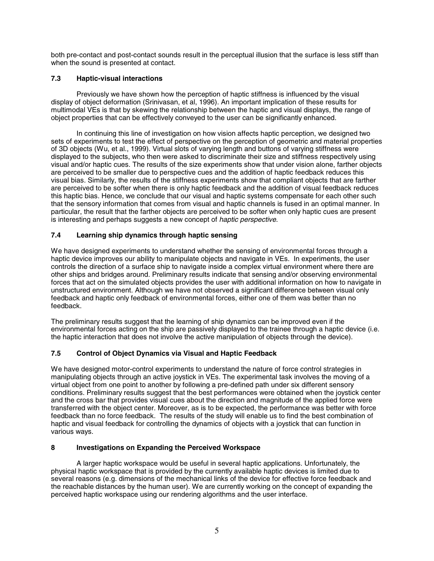both pre-contact and post-contact sounds result in the perceptual illusion that the surface is less stiff than when the sound is presented at contact.

# **7.3 Haptic-visual interactions**

Previously we have shown how the perception of haptic stiffness is influenced by the visual display of object deformation (Srinivasan, et al, 1996). An important implication of these results for multimodal VEs is that by skewing the relationship between the haptic and visual displays, the range of object properties that can be effectively conveyed to the user can be significantly enhanced.

In continuing this line of investigation on how vision affects haptic perception, we designed two sets of experiments to test the effect of perspective on the perception of geometric and material properties of 3D objects (Wu, et al., 1999). Virtual slots of varying length and buttons of varying stiffness were displayed to the subjects, who then were asked to discriminate their size and stiffness respectively using visual and/or haptic cues. The results of the size experiments show that under vision alone, farther objects are perceived to be smaller due to perspective cues and the addition of haptic feedback reduces this visual bias. Similarly, the results of the stiffness experiments show that compliant objects that are farther are perceived to be softer when there is only haptic feedback and the addition of visual feedback reduces this haptic bias. Hence, we conclude that our visual and haptic systems compensate for each other such that the sensory information that comes from visual and haptic channels is fused in an optimal manner. In particular, the result that the farther objects are perceived to be softer when only haptic cues are present is interesting and perhaps suggests a new concept of *haptic perspective*.

# **7.4 Learning ship dynamics through haptic sensing**

We have designed experiments to understand whether the sensing of environmental forces through a haptic device improves our ability to manipulate objects and navigate in VEs. In experiments, the user controls the direction of a surface ship to navigate inside a complex virtual environment where there are other ships and bridges around. Preliminary results indicate that sensing and/or observing environmental forces that act on the simulated objects provides the user with additional information on how to navigate in unstructured environment. Although we have not observed a significant difference between visual only feedback and haptic only feedback of environmental forces, either one of them was better than no feedback.

The preliminary results suggest that the learning of ship dynamics can be improved even if the environmental forces acting on the ship are passively displayed to the trainee through a haptic device (i.e. the haptic interaction that does not involve the active manipulation of objects through the device).

# **7.5 Control of Object Dynamics via Visual and Haptic Feedback**

We have designed motor-control experiments to understand the nature of force control strategies in manipulating objects through an active joystick in VEs. The experimental task involves the moving of a virtual object from one point to another by following a pre-defined path under six different sensory conditions. Preliminary results suggest that the best performances were obtained when the joystick center and the cross bar that provides visual cues about the direction and magnitude of the applied force were transferred with the object center. Moreover, as is to be expected, the performance was better with force feedback than no force feedback. The results of the study will enable us to find the best combination of haptic and visual feedback for controlling the dynamics of objects with a joystick that can function in various ways.

# **8 Investigations on Expanding the Perceived Workspace**

A larger haptic workspace would be useful in several haptic applications. Unfortunately, the physical haptic workspace that is provided by the currently available haptic devices is limited due to several reasons (e.g. dimensions of the mechanical links of the device for effective force feedback and the reachable distances by the human user). We are currently working on the concept of expanding the perceived haptic workspace using our rendering algorithms and the user interface.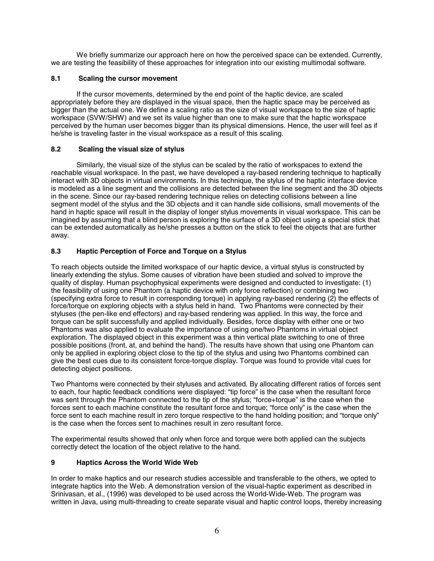We briefly summarize our approach here on how the perceived space can be extended. Currently, we are testing the feasibility of these approaches for integration into our existing multimodal software.

# **8.1 Scaling the cursor movement**

If the cursor movements, determined by the end point of the haptic device, are scaled appropriately before they are displayed in the visual space, then the haptic space may be perceived as bigger than the actual one. We define a scaling ratio as the size of visual workspace to the size of haptic workspace (SVW/SHW) and we set its value higher than one to make sure that the haptic workspace perceived by the human user becomes bigger than its physical dimensions. Hence, the user will feel as if he/she is traveling faster in the visual workspace as a result of this scaling.

# **8.2 Scaling the visual size of stylus**

Similarly, the visual size of the stylus can be scaled by the ratio of workspaces to extend the reachable visual workspace. In the past, we have developed a ray-based rendering technique to haptically interact with 3D objects in virtual environments. In this technique, the stylus of the haptic interface device is modeled as a line segment and the collisions are detected between the line segment and the 3D objects in the scene. Since our ray-based rendering technique relies on detecting collisions between a line segment model of the stylus and the 3D objects and it can handle side collisions, small movements of the hand in haptic space will result in the display of longer stylus movements in visual workspace. This can be imagined by assuming that a blind person is exploring the surface of a 3D object using a special stick that can be extended automatically as he/she presses a button on the stick to feel the objects that are further away.

# **8.3 Haptic Perception of Force and Torque on a Stylus**

To reach objects outside the limited workspace of our haptic device, a virtual stylus is constructed by linearly extending the stylus. Some causes of vibration have been studied and solved to improve the quality of display. Human psychophysical experiments were designed and conducted to investigate: (1) the feasibility of using one Phantom (a haptic device with only force reflection) or combining two (specifying extra force to result in corresponding torque) in applying ray-based rendering (2) the effects of force/torque on exploring objects with a stylus held in hand. Two Phantoms were connected by their styluses (the pen-like end effectors) and ray-based rendering was applied. In this way, the force and torque can be split successfully and applied individually. Besides, force display with either one or two Phantoms was also applied to evaluate the importance of using one/two Phantoms in virtual object exploration. The displayed object in this experiment was a thin vertical plate switching to one of three possible positions (front, at, and behind the hand). The results have shown that using one Phantom can only be applied in exploring object close to the tip of the stylus and using two Phantoms combined can give the best cues due to its consistent force-torque display. Torque was found to provide vital cues for detecting object positions.

Two Phantoms were connected by their styluses and activated. By allocating different ratios of forces sent to each, four haptic feedback conditions were displayed: "tip force" is the case when the resultant force was sent through the Phantom connected to the tip of the stylus; "force+torque" is the case when the forces sent to each machine constitute the resultant force and torque; "force only" is the case when the force sent to each machine result in zero torque respective to the hand holding position; and "torque only" is the case when the forces sent to machines result in zero resultant force.

The experimental results showed that only when force and torque were both applied can the subjects correctly detect the location of the object relative to the hand.

# **9 Haptics Across the World Wide Web**

In order to make haptics and our research studies accessible and transferable to the others, we opted to integrate haptics into the Web. A demonstration version of the visual-haptic experiment as described in Srinivasan, et al., (1996) was developed to be used across the World-Wide-Web. The program was written in Java, using multi-threading to create separate visual and haptic control loops, thereby increasing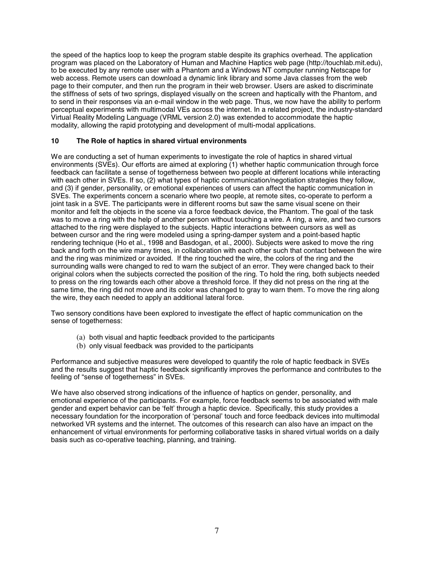the speed of the haptics loop to keep the program stable despite its graphics overhead. The application program was placed on the Laboratory of Human and Machine Haptics web page (http://touchlab.mit.edu), to be executed by any remote user with a Phantom and a Windows NT computer running Netscape for web access. Remote users can download a dynamic link library and some Java classes from the web page to their computer, and then run the program in their web browser. Users are asked to discriminate the stiffness of sets of two springs, displayed visually on the screen and haptically with the Phantom, and to send in their responses via an e-mail window in the web page. Thus, we now have the ability to perform perceptual experiments with multimodal VEs across the internet. In a related project, the industry-standard Virtual Reality Modeling Language (VRML version 2.0) was extended to accommodate the haptic modality, allowing the rapid prototyping and development of multi-modal applications.

### **10 The Role of haptics in shared virtual environments**

We are conducting a set of human experiments to investigate the role of haptics in shared virtual environments (SVEs). Our efforts are aimed at exploring (1) whether haptic communication through force feedback can facilitate a sense of togetherness between two people at different locations while interacting with each other in SVEs. If so, (2) what types of haptic communication/negotiation strategies they follow, and (3) if gender, personality, or emotional experiences of users can affect the haptic communication in SVEs. The experiments concern a scenario where two people, at remote sites, co-operate to perform a joint task in a SVE. The participants were in different rooms but saw the same visual scene on their monitor and felt the objects in the scene via a force feedback device, the Phantom. The goal of the task was to move a ring with the help of another person without touching a wire. A ring, a wire, and two cursors attached to the ring were displayed to the subjects. Haptic interactions between cursors as well as between cursor and the ring were modeled using a spring-damper system and a point-based haptic rendering technique (Ho et al., 1998 and Basdogan, et al., 2000). Subjects were asked to move the ring back and forth on the wire many times, in collaboration with each other such that contact between the wire and the ring was minimized or avoided. If the ring touched the wire, the colors of the ring and the surrounding walls were changed to red to warn the subject of an error. They were changed back to their original colors when the subjects corrected the position of the ring. To hold the ring, both subjects needed to press on the ring towards each other above a threshold force. If they did not press on the ring at the same time, the ring did not move and its color was changed to gray to warn them. To move the ring along the wire, they each needed to apply an additional lateral force.

Two sensory conditions have been explored to investigate the effect of haptic communication on the sense of togetherness:

- (a) both visual and haptic feedback provided to the participants
- (b) only visual feedback was provided to the participants

Performance and subjective measures were developed to quantify the role of haptic feedback in SVEs and the results suggest that haptic feedback significantly improves the performance and contributes to the feeling of "sense of togetherness" in SVEs.

We have also observed strong indications of the influence of haptics on gender, personality, and emotional experience of the participants. For example, force feedback seems to be associated with male gender and expert behavior can be 'felt' through a haptic device. Specifically, this study provides a necessary foundation for the incorporation of 'personal' touch and force feedback devices into multimodal networked VR systems and the internet. The outcomes of this research can also have an impact on the enhancement of virtual environments for performing collaborative tasks in shared virtual worlds on a daily basis such as co-operative teaching, planning, and training.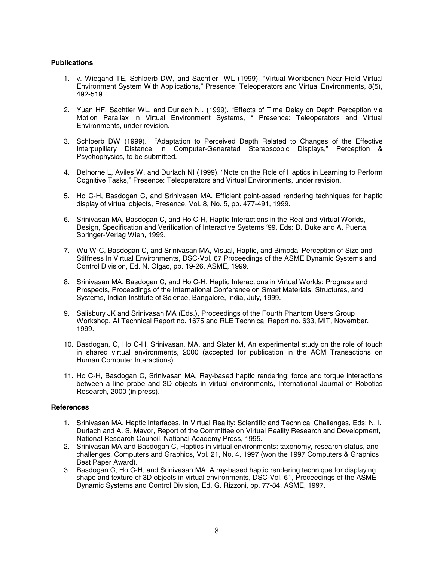#### **Publications**

- 1. v. Wiegand TE, Schloerb DW, and Sachtler WL (1999). "Virtual Workbench Near-Field Virtual Environment System With Applications," Presence: Teleoperators and Virtual Environments, 8(5), 492-519.
- 2. Yuan HF, Sachtler WL, and Durlach NI. (1999). "Effects of Time Delay on Depth Perception via Motion Parallax in Virtual Environment Systems, " Presence: Teleoperators and Virtual Environments, under revision.
- 3. Schloerb DW (1999). "Adaptation to Perceived Depth Related to Changes of the Effective Interpupillary Distance in Computer-Generated Stereoscopic Displays," Perception & Psychophysics, to be submitted.
- 4. Delhorne L, Aviles W, and Durlach NI (1999). "Note on the Role of Haptics in Learning to Perform Cognitive Tasks," Presence: Teleoperators and Virtual Environments, under revision.
- 5. Ho C-H, Basdogan C, and Srinivasan MA, Efficient point-based rendering techniques for haptic display of virtual objects, Presence, Vol. 8, No. 5, pp. 477-491, 1999.
- 6. Srinivasan MA, Basdogan C, and Ho C-H, Haptic Interactions in the Real and Virtual Worlds, Design, Specification and Verification of Interactive Systems '99, Eds: D. Duke and A. Puerta, Springer-Verlag Wien, 1999.
- 7. Wu W-C, Basdogan C, and Srinivasan MA, Visual, Haptic, and Bimodal Perception of Size and Stiffness In Virtual Environments, DSC-Vol. 67 Proceedings of the ASME Dynamic Systems and Control Division, Ed. N. Olgac, pp. 19-26, ASME, 1999.
- 8. Srinivasan MA, Basdogan C, and Ho C-H, Haptic Interactions in Virtual Worlds: Progress and Prospects, Proceedings of the International Conference on Smart Materials, Structures, and Systems, Indian Institute of Science, Bangalore, India, July, 1999.
- 9. Salisbury JK and Srinivasan MA (Eds.), Proceedings of the Fourth Phantom Users Group Workshop, AI Technical Report no. 1675 and RLE Technical Report no. 633, MIT, November, 1999.
- 10. Basdogan, C, Ho C-H, Srinivasan, MA, and Slater M, An experimental study on the role of touch in shared virtual environments, 2000 (accepted for publication in the ACM Transactions on Human Computer Interactions).
- 11. Ho C-H, Basdogan C, Srinivasan MA, Ray-based haptic rendering: force and torque interactions between a line probe and 3D objects in virtual environments, International Journal of Robotics Research, 2000 (in press).

#### **References**

- 1. Srinivasan MA, Haptic Interfaces, In Virtual Reality: Scientific and Technical Challenges, Eds: N. I. Durlach and A. S. Mavor, Report of the Committee on Virtual Reality Research and Development, National Research Council, National Academy Press, 1995.
- 2. Srinivasan MA and Basdogan C, Haptics in virtual environments: taxonomy, research status, and challenges, Computers and Graphics, Vol. 21, No. 4, 1997 (won the 1997 Computers & Graphics Best Paper Award).
- 3. Basdogan C, Ho C-H, and Srinivasan MA, A ray-based haptic rendering technique for displaying shape and texture of 3D objects in virtual environments, DSC-Vol. 61, Proceedings of the ASME Dynamic Systems and Control Division, Ed. G. Rizzoni, pp. 77-84, ASME, 1997.